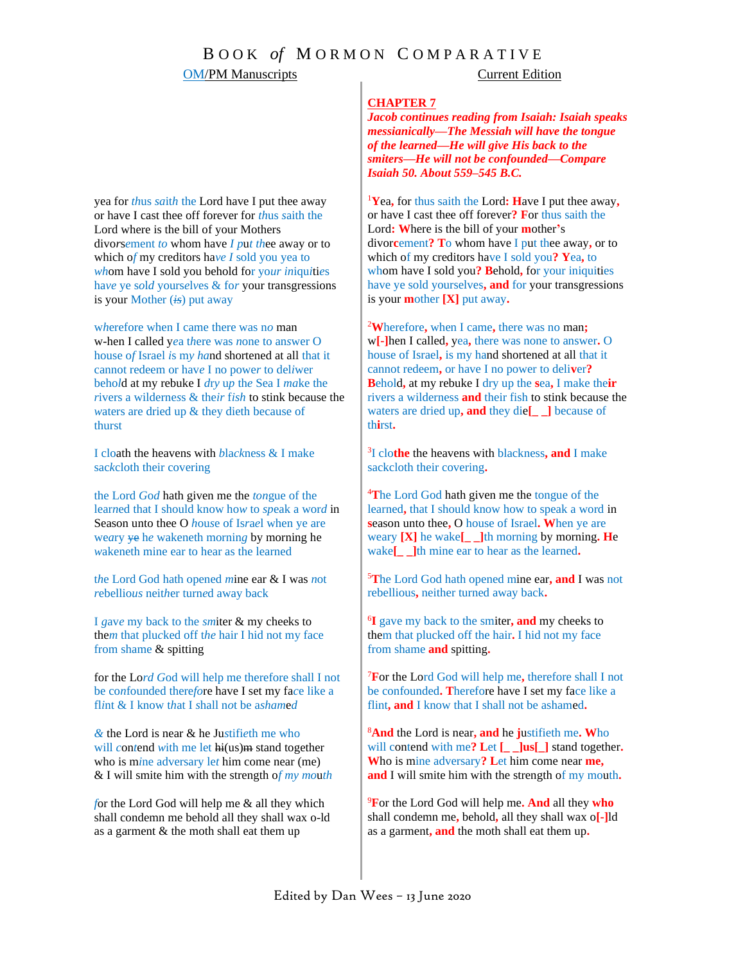# OM/PM Manuscripts Current Edition

### **CHAPTER 7**

*Jacob continues reading from Isaiah: Isaiah speaks messianically—The Messiah will have the tongue of the learned—He will give His back to the smiters—He will not be confounded—Compare Isaiah 50. About 559–545 B.C.*

<sup>1</sup>**Y**ea**,** for thus saith the Lord**: H**ave I put thee away**,**  or have I cast thee off forever**? F**or thus saith the Lord**: W**here is the bill of your **m**other**'**s divor**c**ement**? T**o whom have I put thee away**,** or to which of my creditors have I sold you**? Y**ea**,** to whom have I sold you**? B**ehold**,** for your iniquities have ye sold yourselves**, and** for your transgressions is your **m**other **[X]** put away**.**

<sup>2</sup>**W**herefore**,** when I came**,** there was no man**;** w**[-]**hen I called**,** yea**,** there was none to answer**.** O house of Israel**,** is my hand shortened at all that it cannot redeem**,** or have I no power to deli**v**er**? B**ehold**,** at my rebuke I dry up the **s**ea**,** I make the**ir** rivers a wilderness **and** their fish to stink because the waters are dried up**, and** they die**[\_ \_]** because of th**i**rst**.**

3 I clo**the** the heavens with blackness**, and** I make sackcloth their covering**.**

<sup>4</sup>**T**he Lord God hath given me the tongue of the learned**,** that I should know how to speak a word in **s**eason unto thee**,** O house of Israel**. W**hen ye are weary **[X]** he wake**[\_ \_]**th morning by morning**. H**e wake**[\_ \_]**th mine ear to hear as the learned**.**

<sup>5</sup>**T**he Lord God hath opened mine ear**, and** I was not rebellious**,** neither turned away back**.**

6 **I** gave my back to the smiter**, and** my cheeks to them that plucked off the hair**.** I hid not my face from shame **and** spitting**.**

<sup>7</sup>**F**or the Lord God will help me**,** therefore shall I not be confounded**. T**herefore have I set my face like a flint**, and** I know that I shall not be ashamed**.** 

<sup>8</sup>**And** the Lord is near**, and** he **j**ustifieth me**. W**ho will contend with me**? L**et **[\_ \_]us[\_]** stand together**. W**ho is mine adversary**? L**et him come near **me, and** I will smite him with the strength of my mouth**.**

<sup>9</sup>**F**or the Lord God will help me**. And** all they **who** shall condemn me**,** behold**,** all they shall wax o**[-]**ld as a garment**, and** the moth shall eat them up**.**

yea for *th*us *sa*it*h* the Lord have I put thee away or have I cast thee off forever for *th*us *s*aith the Lord where is the bill of your Mothers divo*r*s*e*ment *to* whom have *I p*u*t th*ee away or to which o*f* my creditors ha*ve I* sold you yea to *wh*om have I sold you behold for yo*ur in*iqu*i*ti*e*s ha*ve* ye s*o*l*d* yours*e*l*v*es & fo*r* your transgressions is your Mother (*is*) put away

w*h*erefore when I came there was n*o* man w-hen I called y*e*a t*h*ere was *n*one to an*s*wer O house o*f* Israel *i*s m*y ha*nd shortened at all that it cannot redeem or hav*e* I no powe*r* to del*i*wer beho*l*d at my rebuke I *d*r*y* u*p* th*e* Sea I *ma*ke the *r*ivers a wilderne*s*s & the*ir* f*ish* to stink because the *w*aters are dried up & they dieth because of thurst

I cloath the heavens with *b*la*ck*ness & I make sac*k*cloth their covering

the Lord *G*o*d* hath given me the *ton*gue of the lear*n*ed that I should know ho*w* to *sp*eak a wor*d* in Season unto thee O *h*ou*s*e of Is*r*a*e*l when ye are we*a*ry ye h*e* wakeneth mornin*g* by morning he *w*akeneth mine ear to hear as the learned

t*h*e Lord God hath opened *m*ine ear & I was *n*ot *r*ebellio*us* neit*h*er turn*e*d away back

I *g*av*e* my back to the *sm*iter & my cheeks to the*m* that plu*c*ked off t*he* hair I hid not my face from shame & spitting

for the Lo*rd G*od will help me therefore shall I not be co*n*founded there*fo*re have I set my fa*c*e like a fl*i*nt & I know t*h*at I *s*hall n*o*t be a*sham*e*d*

*&* the Lord is near & he Ju*s*tifi*e*th me who will *contend* with me let  $hi(us)m$  stand together who is m*i*ne adversary le*t* him come near (me) & I will smite him with the strength o*f my mo*u*th*

*f*or the Lord God will help me & all they which shall condemn me behold all they shall wax o-ld as a garment & the moth shall eat them up